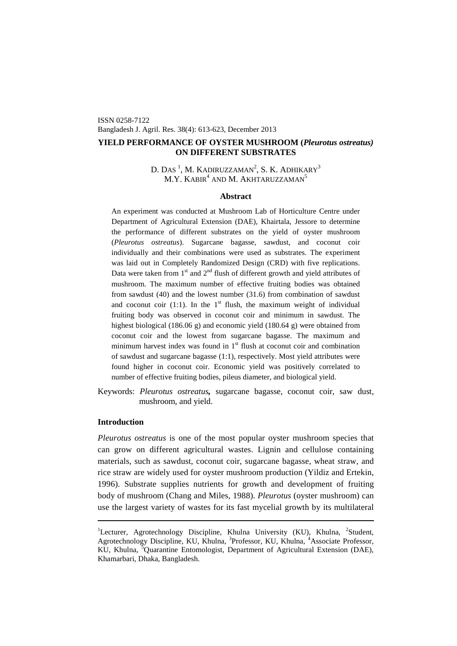ISSN 0258-7122 Bangladesh J. Agril. Res. 38(4): 613-623, December 2013

# **YIELD PERFORMANCE OF OYSTER MUSHROOM (***Pleurotus ostreatus)*  **ON DIFFERENT SUBSTRATES**

# D. Das  $^1$  $^1$ , M. Kadiruzzaman $^2$ , S. K. Adhikary $^3$ M.Y. KABIR $^4$  and M. Akhtaruzzaman $^5$

## **Abstract**

An experiment was conducted at Mushroom Lab of Horticulture Centre under Department of Agricultural Extension (DAE), Khairtala, Jessore to determine the performance of different substrates on the yield of oyster mushroom (*Pleurotus ostreatus*). Sugarcane bagasse, sawdust, and coconut coir individually and their combinations were used as substrates. The experiment was laid out in Completely Randomized Design (CRD) with five replications. Data were taken from  $1<sup>st</sup>$  and  $2<sup>nd</sup>$  flush of different growth and yield attributes of mushroom. The maximum number of effective fruiting bodies was obtained from sawdust (40) and the lowest number (31.6) from combination of sawdust and coconut coir (1:1). In the  $1<sup>st</sup>$  flush, the maximum weight of individual fruiting body was observed in coconut coir and minimum in sawdust. The highest biological (186.06 g) and economic yield (180.64 g) were obtained from coconut coir and the lowest from sugarcane bagasse. The maximum and minimum harvest index was found in  $1<sup>st</sup>$  flush at coconut coir and combination of sawdust and sugarcane bagasse (1:1), respectively. Most yield attributes were found higher in coconut coir. Economic yield was positively correlated to number of effective fruiting bodies, pileus diameter, and biological yield.

Keywords: *Pleurotus ostreatus,* sugarcane bagasse, coconut coir, saw dust, mushroom, and yield.

# **Introduction**

*Pleurotus ostreatus* is one of the most popular oyster mushroom species that can grow on different agricultural wastes. Lignin and cellulose containing materials, such as sawdust, coconut coir, sugarcane bagasse, wheat straw, and rice straw are widely used for oyster mushroom production (Yildiz and Ertekin, 1996). Substrate supplies nutrients for growth and development of fruiting body of mushroom (Chang and Miles, 1988). *Pleurotus* (oyster mushroom) can use the largest variety of wastes for its fast mycelial growth by its multilateral

<span id="page-0-0"></span><sup>&</sup>lt;sup>1</sup>Lecturer, Agrotechnology Discipline, Khulna University (KU), Khulna, <sup>2</sup>Student, Agrotechnology Discipline, KU, Khulna, <sup>3</sup>Professor, KU, Khulna, <sup>4</sup>Associate Professor, KU, Khulna, <sup>5</sup>Quarantine Entomologist, Department of Agricultural Extension (DAE), Khamarbari, Dhaka, Bangladesh.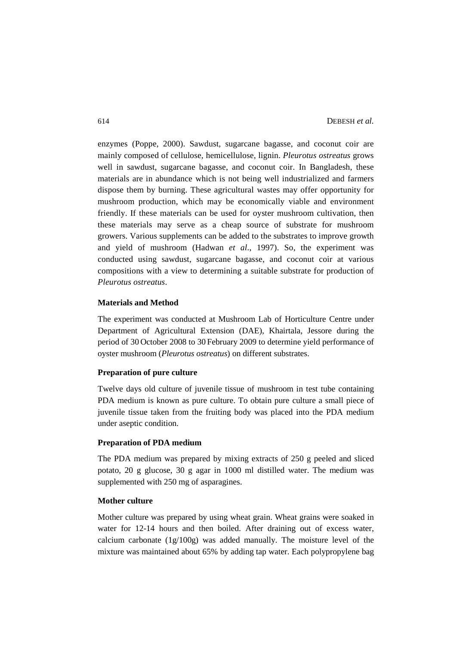enzymes (Poppe, 2000). Sawdust, sugarcane bagasse, and coconut coir are mainly composed of cellulose, hemicellulose, lignin. *Pleurotus ostreatus* grows well in sawdust, sugarcane bagasse, and coconut coir. In Bangladesh, these materials are in abundance which is not being well industrialized and farmers dispose them by burning. These agricultural wastes may offer opportunity for mushroom production, which may be economically viable and environment friendly. If these materials can be used for oyster mushroom cultivation, then these materials may serve as a cheap source of substrate for mushroom growers. Various supplements can be added to the substrates to improve growth and yield of mushroom (Hadwan *et al*., 1997). So, the experiment was conducted using sawdust, sugarcane bagasse, and coconut coir at various compositions with a view to determining a suitable substrate for production of *Pleurotus ostreatus*.

# **Materials and Method**

The experiment was conducted at Mushroom Lab of Horticulture Centre under Department of Agricultural Extension (DAE), Khairtala, Jessore during the period of 30 October 2008 to 30 February 2009 to determine yield performance of oyster mushroom (*Pleurotus ostreatus*) on different substrates.

# **Preparation of pure culture**

Twelve days old culture of juvenile tissue of mushroom in test tube containing PDA medium is known as pure culture. To obtain pure culture a small piece of juvenile tissue taken from the fruiting body was placed into the PDA medium under aseptic condition.

## **Preparation of PDA medium**

The PDA medium was prepared by mixing extracts of 250 g peeled and sliced potato, 20 g glucose, 30 g agar in 1000 ml distilled water. The medium was supplemented with 250 mg of asparagines.

#### **Mother culture**

Mother culture was prepared by using wheat grain. Wheat grains were soaked in water for 12-14 hours and then boiled. After draining out of excess water, calcium carbonate (1g/100g) was added manually. The moisture level of the mixture was maintained about 65% by adding tap water. Each polypropylene bag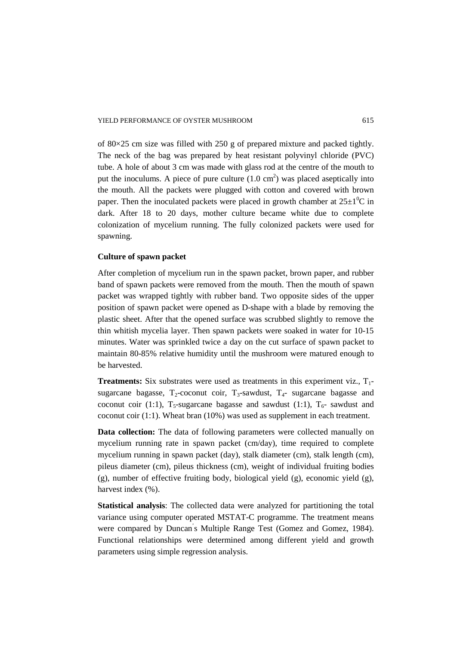of  $80 \times 25$  cm size was filled with 250 g of prepared mixture and packed tightly. The neck of the bag was prepared by heat resistant polyvinyl chloride (PVC) tube. A hole of about 3 cm was made with glass rod at the centre of the mouth to put the inoculums. A piece of pure culture  $(1.0 \text{ cm}^2)$  was placed aseptically into the mouth. All the packets were plugged with cotton and covered with brown paper. Then the inoculated packets were placed in growth chamber at  $25\pm1\textsuperscript{0}C$  in dark. After 18 to 20 days, mother culture became white due to complete colonization of mycelium running. The fully colonized packets were used for spawning.

## **Culture of spawn packet**

After completion of mycelium run in the spawn packet, brown paper, and rubber band of spawn packets were removed from the mouth. Then the mouth of spawn packet was wrapped tightly with rubber band. Two opposite sides of the upper position of spawn packet were opened as D-shape with a blade by removing the plastic sheet. After that the opened surface was scrubbed slightly to remove the thin whitish mycelia layer. Then spawn packets were soaked in water for 10-15 minutes. Water was sprinkled twice a day on the cut surface of spawn packet to maintain 80-85% relative humidity until the mushroom were matured enough to be harvested.

**Treatments:** Six substrates were used as treatments in this experiment viz.,  $T_1$ sugarcane bagasse,  $T_2$ -coconut coir,  $T_3$ -sawdust,  $T_4$ - sugarcane bagasse and coconut coir (1:1),  $T_5$ -sugarcane bagasse and sawdust (1:1),  $T_6$ - sawdust and coconut coir (1:1). Wheat bran (10%) was used as supplement in each treatment.

**Data collection:** The data of following parameters were collected manually on mycelium running rate in spawn packet (cm/day), time required to complete mycelium running in spawn packet (day), stalk diameter (cm), stalk length (cm), pileus diameter (cm), pileus thickness (cm), weight of individual fruiting bodies  $(g)$ , number of effective fruiting body, biological yield  $(g)$ , economic yield  $(g)$ , harvest index  $(\% )$ .

**Statistical analysis**: The collected data were analyzed for partitioning the total variance using computer operated MSTAT-C programme. The treatment means were compared by Duncan' s Multiple Range Test (Gomez and Gomez, 1984). Functional relationships were determined among different yield and growth parameters using simple regression analysis.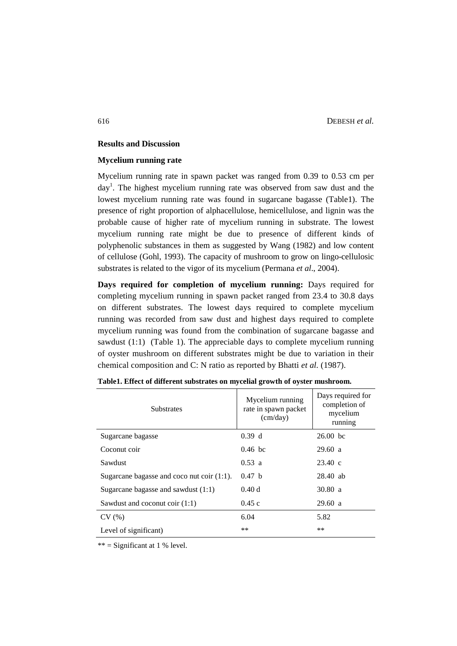## **Results and Discussion**

#### **Mycelium running rate**

Mycelium running rate in spawn packet was ranged from 0.39 to 0.53 cm per day<sup>1</sup>. The highest mycelium running rate was observed from saw dust and the lowest mycelium running rate was found in sugarcane bagasse (Table1). The presence of right proportion of alphacellulose, hemicellulose, and lignin was the probable cause of higher rate of mycelium running in substrate. The lowest mycelium running rate might be due to presence of different kinds of polyphenolic substances in them as suggested by Wang (1982) and low content of cellulose (Gohl, 1993). The capacity of mushroom to grow on lingo-cellulosic substrates is related to the vigor of its mycelium (Permana *et al*., 2004).

**Days required for completion of mycelium running:** Days required for completing mycelium running in spawn packet ranged from 23.4 to 30.8 days on different substrates. The lowest days required to complete mycelium running was recorded from saw dust and highest days required to complete mycelium running was found from the combination of sugarcane bagasse and sawdust (1:1) (Table 1). The appreciable days to complete mycelium running of oyster mushroom on different substrates might be due to variation in their chemical composition and C: N ratio as reported by Bhatti *et al.* (1987).

| <b>Substrates</b>                             | Mycelium running<br>rate in spawn packet<br>(cm/day) | Days required for<br>completion of<br>mycelium<br>running |
|-----------------------------------------------|------------------------------------------------------|-----------------------------------------------------------|
| Sugarcane bagasse                             | 0.39 d                                               | $26.00$ bc                                                |
| Coconut coir                                  | $0.46$ bc                                            | 29.60 a                                                   |
| Sawdust                                       | 0.53 a                                               | $23.40 \text{ c}$                                         |
| Sugarcane bagasse and coco nut coir $(1:1)$ . | 0.47 h                                               | $28.40$ ab                                                |
| Sugarcane bagasse and sawdust $(1:1)$         | 0.40d                                                | 30.80 a                                                   |
| Sawdust and coconut coir $(1:1)$              | 0.45c                                                | 29.60 a                                                   |
| CV(%)                                         | 6.04                                                 | 5.82                                                      |
| Level of significant)                         | $**$                                                 | **                                                        |

| Table1. Effect of different substrates on mycelial growth of oyster mushroom. |  |  |  |  |
|-------------------------------------------------------------------------------|--|--|--|--|
|-------------------------------------------------------------------------------|--|--|--|--|

 $**$  = Significant at 1 % level.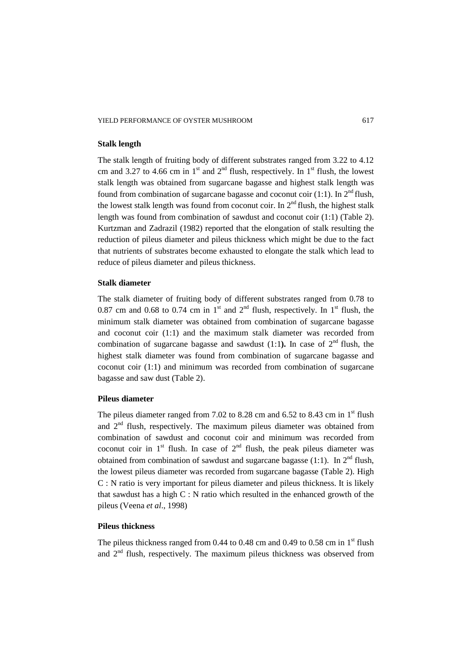## **Stalk length**

The stalk length of fruiting body of different substrates ranged from 3.22 to 4.12 cm and 3.27 to 4.66 cm in 1<sup>st</sup> and  $2<sup>nd</sup>$  flush, respectively. In 1<sup>st</sup> flush, the lowest stalk length was obtained from sugarcane bagasse and highest stalk length was found from combination of sugarcane bagasse and coconut coir (1:1). In  $2<sup>nd</sup>$  flush, the lowest stalk length was found from coconut coir. In  $2<sup>nd</sup>$  flush, the highest stalk length was found from combination of sawdust and coconut coir (1:1) (Table 2). Kurtzman and Zadrazil (1982) reported that the elongation of stalk resulting the reduction of pileus diameter and pileus thickness which might be due to the fact that nutrients of substrates become exhausted to elongate the stalk which lead to reduce of pileus diameter and pileus thickness.

# **Stalk diameter**

The stalk diameter of fruiting body of different substrates ranged from 0.78 to 0.87 cm and 0.68 to 0.74 cm in 1<sup>st</sup> and  $2<sup>nd</sup>$  flush, respectively. In 1<sup>st</sup> flush, the minimum stalk diameter was obtained from combination of sugarcane bagasse and coconut coir (1:1) and the maximum stalk diameter was recorded from combination of sugarcane bagasse and sawdust  $(1:1)$ . In case of  $2<sup>nd</sup>$  flush, the highest stalk diameter was found from combination of sugarcane bagasse and coconut coir (1:1) and minimum was recorded from combination of sugarcane bagasse and saw dust (Table 2).

# **Pileus diameter**

The pileus diameter ranged from 7.02 to 8.28 cm and 6.52 to 8.43 cm in  $1<sup>st</sup>$  flush and  $2<sup>nd</sup>$  flush, respectively. The maximum pileus diameter was obtained from combination of sawdust and coconut coir and minimum was recorded from coconut coir in  $1<sup>st</sup>$  flush. In case of  $2<sup>nd</sup>$  flush, the peak pileus diameter was obtained from combination of sawdust and sugarcane bagasse (1:1). In  $2<sup>nd</sup>$  flush, the lowest pileus diameter was recorded from sugarcane bagasse (Table 2). High C : N ratio is very important for pileus diameter and pileus thickness. It is likely that sawdust has a high C : N ratio which resulted in the enhanced growth of the pileus (Veena *et al*., 1998)

# **Pileus thickness**

The pileus thickness ranged from 0.44 to 0.48 cm and 0.49 to 0.58 cm in  $1<sup>st</sup>$  flush and  $2<sup>nd</sup>$  flush, respectively. The maximum pileus thickness was observed from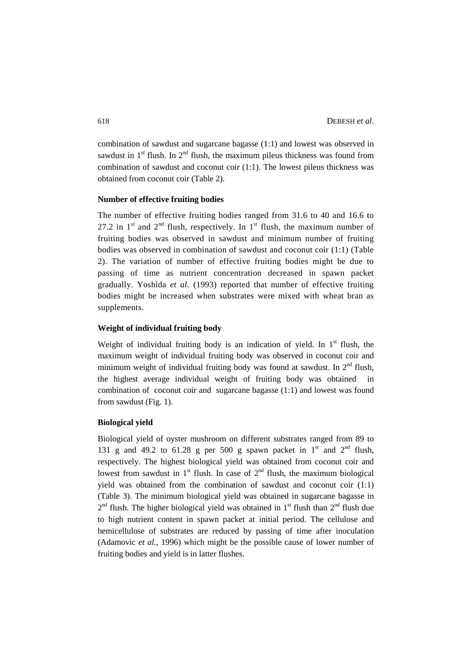combination of sawdust and sugarcane bagasse (1:1) and lowest was observed in sawdust in  $1<sup>st</sup>$  flush. In  $2<sup>nd</sup>$  flush, the maximum pileus thickness was found from combination of sawdust and coconut coir (1:1). The lowest pileus thickness was obtained from coconut coir (Table 2).

## **Number of effective fruiting bodies**

The number of effective fruiting bodies ranged from 31.6 to 40 and 16.6 to 27.2 in  $1<sup>st</sup>$  and  $2<sup>nd</sup>$  flush, respectively. In  $1<sup>st</sup>$  flush, the maximum number of fruiting bodies was observed in sawdust and minimum number of fruiting bodies was observed in combination of sawdust and coconut coir (1:1) (Table 2). The variation of number of effective fruiting bodies might be due to passing of time as nutrient concentration decreased in spawn packet gradually. Yoshida *et al.* (1993) reported that number of effective fruiting bodies might be increased when substrates were mixed with wheat bran as supplements.

# **Weight of individual fruiting body**

Weight of individual fruiting body is an indication of yield. In  $1<sup>st</sup>$  flush, the maximum weight of individual fruiting body was observed in coconut coir and minimum weight of individual fruiting body was found at sawdust. In  $2<sup>nd</sup>$  flush, the highest average individual weight of fruiting body was obtained in combination of coconut coir and sugarcane bagasse (1:1) and lowest was found from sawdust (Fig. 1).

#### **Biological yield**

Biological yield of oyster mushroom on different substrates ranged from 89 to 131 g and 49.2 to 61.28 g per 500 g spawn packet in  $1<sup>st</sup>$  and  $2<sup>nd</sup>$  flush, respectively. The highest biological yield was obtained from coconut coir and lowest from sawdust in  $1<sup>st</sup>$  flush. In case of  $2<sup>nd</sup>$  flush, the maximum biological yield was obtained from the combination of sawdust and coconut coir (1:1) (Table 3). The minimum biological yield was obtained in sugarcane bagasse in  $2<sup>nd</sup>$  flush. The higher biological yield was obtained in 1<sup>st</sup> flush than  $2<sup>nd</sup>$  flush due to high nutrient content in spawn packet at initial period. The cellulose and hemicellulose of substrates are reduced by passing of time after inoculation (Adamovic *et al.,* 1996) which might be the possible cause of lower number of fruiting bodies and yield is in latter flushes.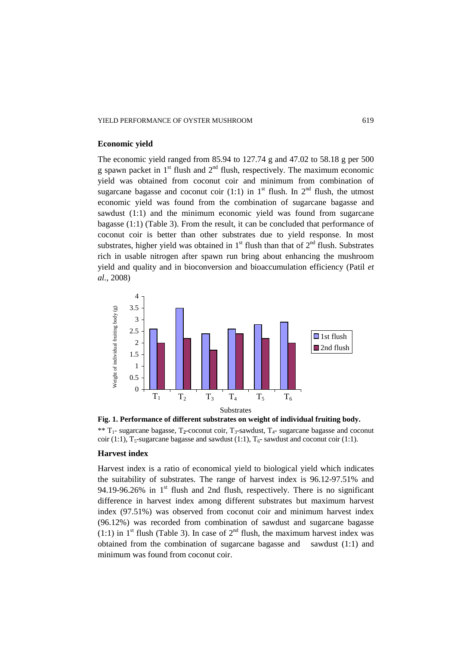#### **Economic yield**

The economic yield ranged from 85.94 to 127.74 g and 47.02 to 58.18 g per 500 g spawn packet in  $1<sup>st</sup>$  flush and  $2<sup>nd</sup>$  flush, respectively. The maximum economic yield was obtained from coconut coir and minimum from combination of sugarcane bagasse and coconut coir (1:1) in  $1<sup>st</sup>$  flush. In  $2<sup>nd</sup>$  flush, the utmost economic yield was found from the combination of sugarcane bagasse and sawdust (1:1) and the minimum economic yield was found from sugarcane bagasse (1:1) (Table 3). From the result, it can be concluded that performance of coconut coir is better than other substrates due to yield response. In most substrates, higher yield was obtained in  $1<sup>st</sup>$  flush than that of  $2<sup>nd</sup>$  flush. Substrates rich in usable nitrogen after spawn run bring about enhancing the mushroom yield and quality and in bioconversion and bioaccumulation efficiency (Patil *et al.,* 2008)



**Fig. 1. Performance of different substrates on weight of individual fruiting body.**  \*\*  $T_1$ - sugarcane bagasse,  $T_2$ -coconut coir,  $T_3$ -sawdust,  $T_4$ - sugarcane bagasse and coconut coir (1:1), T<sub>5</sub>-sugarcane bagasse and sawdust (1:1), T<sub>6</sub>- sawdust and coconut coir (1:1).

#### **Harvest index**

Harvest index is a ratio of economical yield to biological yield which indicates the suitability of substrates. The range of harvest index is 96.12-97.51% and 94.19-96.26% in  $1<sup>st</sup>$  flush and 2nd flush, respectively. There is no significant difference in harvest index among different substrates but maximum harvest index (97.51%) was observed from coconut coir and minimum harvest index (96.12%) was recorded from combination of sawdust and sugarcane bagasse (1:1) in 1<sup>st</sup> flush (Table 3). In case of  $2<sup>nd</sup>$  flush, the maximum harvest index was obtained from the combination of sugarcane bagasse and sawdust (1:1) and minimum was found from coconut coir.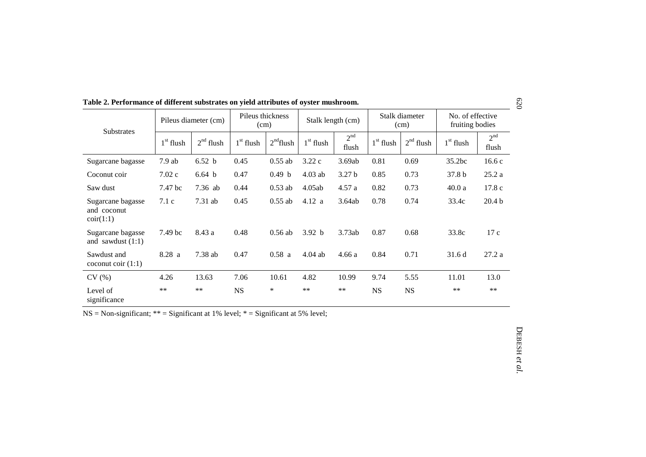| <b>Substrates</b>                                      | Pileus diameter (cm) |             | Pileus thickness<br>(cm) |             | Stalk length (cm) |                          | Stalk diameter<br>(cm) |             | No. of effective<br>fruiting bodies |                          |
|--------------------------------------------------------|----------------------|-------------|--------------------------|-------------|-------------------|--------------------------|------------------------|-------------|-------------------------------------|--------------------------|
|                                                        | $1st$ flush          | $2nd$ flush | $1st$ flush              | $2nd$ flush | $1st$ flush       | 2 <sup>nd</sup><br>flush | $1st$ flush            | $2nd$ flush | $1st$ flush                         | 2 <sup>nd</sup><br>flush |
| Sugarcane bagasse                                      | $7.9$ ab             | 6.52 b      | 0.45                     | $0.55$ ab   | 3.22c             | 3.69ab                   | 0.81                   | 0.69        | 35.2bc                              | 16.6c                    |
| Coconut coir                                           | 7.02c                | 6.64 b      | 0.47                     | 0.49 b      | $4.03$ ab         | 3.27 <sub>b</sub>        | 0.85                   | 0.73        | 37.8 <sub>b</sub>                   | 25.2a                    |
| Saw dust                                               | 7.47 bc              | $7.36$ ab   | 0.44                     | $0.53$ ab   | 4.05ab            | 4.57a                    | 0.82                   | 0.73        | 40.0a                               | 17.8c                    |
| Sugarcane bagasse<br>and coconut<br>$\text{coir}(1:1)$ | 7.1c                 | $7.31$ ab   | 0.45                     | $0.55$ ab   | 4.12 a            | 3.64ab                   | 0.78                   | 0.74        | 33.4c                               | 20.4 <sub>b</sub>        |
| Sugarcane bagasse<br>and sawdust $(1:1)$               | 7.49 bc              | 8.43 a      | 0.48                     | $0.56$ ab   | 3.92 b            | 3.73ab                   | 0.87                   | 0.68        | 33.8c                               | 17c                      |
| Sawdust and<br>coconut coir $(1:1)$                    | 8.28a                | 7.38 ab     | 0.47                     | 0.58a       | $4.04$ ab         | 4.66 a                   | 0.84                   | 0.71        | 31.6d                               | 27.2a                    |
| CV(%)                                                  | 4.26                 | 13.63       | 7.06                     | 10.61       | 4.82              | 10.99                    | 9.74                   | 5.55        | 11.01                               | 13.0                     |
| Level of<br>significance                               | $***$                | $***$       | <b>NS</b>                | $\ast$      | $***$             | $***$                    | <b>NS</b>              | <b>NS</b>   | $***$                               | $**$                     |

**Table 2. Performance of different substrates on yield attributes of oyster mushroom.**

 $NS = Non-significant; ** = Significant at 1% level; * = Significant at 5% level;$ 

620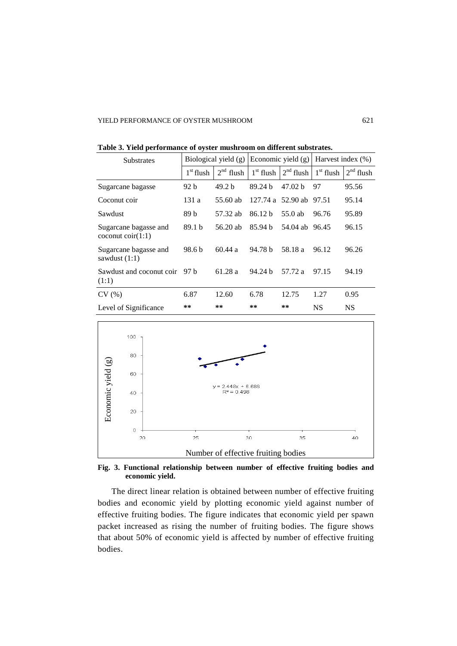| <b>Substrates</b>                                                          | Biological yield (g) |                   |                    | Economic yield $(g)$ | Harvest index $(\% )$ |             |
|----------------------------------------------------------------------------|----------------------|-------------------|--------------------|----------------------|-----------------------|-------------|
|                                                                            | $1st$ flush          | $2nd$ flush       | $1st$ flush        | $2nd$ flush          | $1st$ flush           | $2nd$ flush |
| Sugarcane bagasse                                                          | 92 b                 | 49.2 <sub>b</sub> | 89.24 h            | 47.02 <sub>b</sub>   | 97                    | 95.56       |
| Coconut coir                                                               | 131 a                | 55.60 ab          | 127.74a            | 52.90 ab 97.51       |                       | 95.14       |
| Sawdust                                                                    | 89 b                 | 57.32 ab          | 86.12 <sub>b</sub> | $55.0$ ab            | 96.76                 | 95.89       |
| Sugarcane bagasse and<br>$\operatorname{cocomut} \operatorname{coir}(1:1)$ | 89.1 b               | 56.20 ab          | 85.94 <sub>b</sub> | 54.04 ab 96.45       |                       | 96.15       |
| Sugarcane bagasse and<br>sawdust $(1:1)$                                   | 98.6 b               | 60.44a            | 94.78 b            | 58.18 a              | 96.12                 | 96.26       |
| Sawdust and coconut coir<br>(1:1)                                          | 97 h                 | 61.28 a           | 94.24 h            | 57.72 a              | 97.15                 | 94.19       |
| CV(%)                                                                      | 6.87                 | 12.60             | 6.78               | 12.75                | 1.27                  | 0.95        |
| Level of Significance                                                      | **                   | $***$             | **                 | **                   | <b>NS</b>             | <b>NS</b>   |

**Table 3. Yield performance of oyster mushroom on different substrates.**



**Fig. 3. Functional relationship between number of effective fruiting bodies and economic yield.**

The direct linear relation is obtained between number of effective fruiting bodies and economic yield by plotting economic yield against number of effective fruiting bodies. The figure indicates that economic yield per spawn packet increased as rising the number of fruiting bodies. The figure shows that about 50% of economic yield is affected by number of effective fruiting bodies.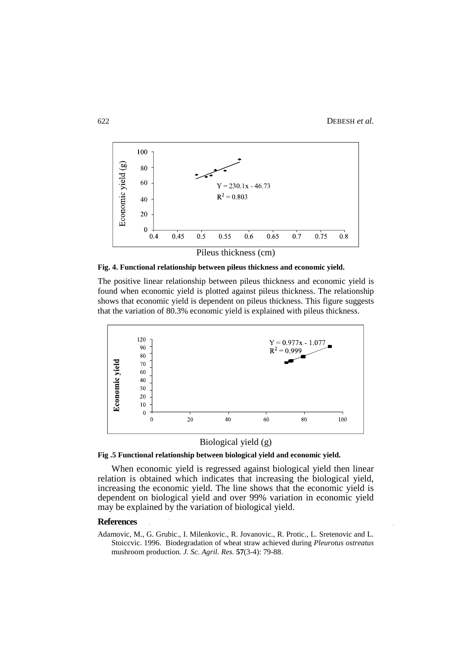

**Fig. 4. Functional relationship between pileus thickness and economic yield.**

The positive linear relationship between pileus thickness and economic yield is found when economic yield is plotted against pileus thickness. The relationship shows that economic yield is dependent on pileus thickness. This figure suggests that the variation of 80.3% economic yield is explained with pileus thickness.



Biological yield (g)



When economic yield is regressed against biological yield then linear relation is obtained which indicates that increasing the biological yield, increasing the economic yield. The line shows that the economic yield is dependent on biological yield and over 99% variation in economic yield may be explained by the variation of biological yield.

## **References**

Adamovic, M., G. Grubic., I. Milenkovic., R. Jovanovic., R. Protic., L. Sretenovic and L. Stoiccvic. 1996. Biodegradation of wheat straw achieved during *Pleurotus ostreatus*  mushroom production. *J. Sc. Agril. Res.* **57**(3-4): 79-88.